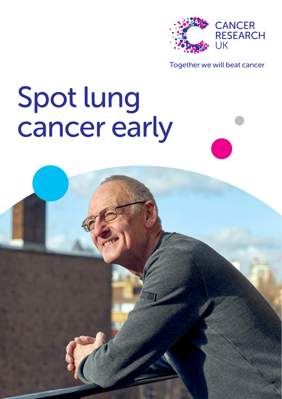

#### Together we will beat cancer

# Spot lung cancer early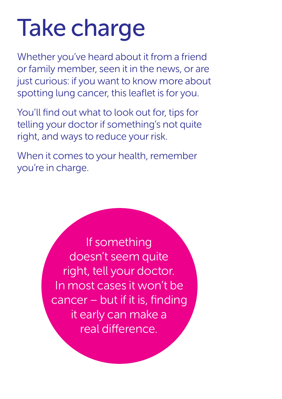## Take charge

Whether you've heard about it from a friend or family member, seen it in the news, or are just curious: if you want to know more about spotting lung cancer, this leaflet is for you.

You'll find out what to look out for, tips for telling your doctor if something's not quite right, and ways to reduce your risk.

When it comes to your health, remember you're in charge.

> If something doesn't seem quite right, tell your doctor. In most cases it won't be cancer – but if it is, finding it early can make a real difference.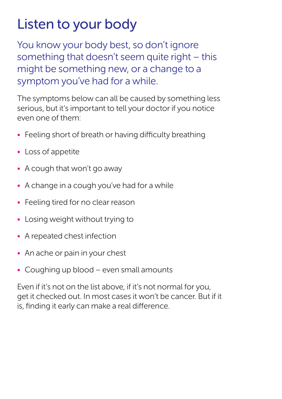### Listen to your body

You know your body best, so don't ignore something that doesn't seem quite right – this might be something new, or a change to a symptom you've had for a while.

The symptoms below can all be caused by something less serious, but it's important to tell your doctor if you notice even one of them:

- Feeling short of breath or having difficulty breathing
- Loss of appetite
- A cough that won't go away
- A change in a cough you've had for a while
- Feeling tired for no clear reason
- Losing weight without trying to
- A repeated chest infection
- An ache or pain in your chest
- Coughing up blood even small amounts

Even if it's not on the list above, if it's not normal for you, get it checked out. In most cases it won't be cancer. But if it is, finding it early can make a real difference.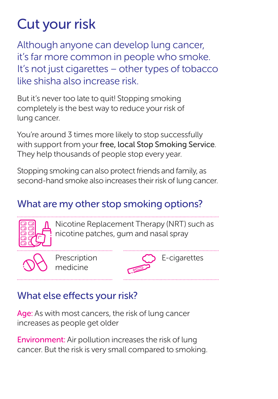## Cut your risk

Although anyone can develop lung cancer, it's far more common in people who smoke. It's not just cigarettes – other types of tobacco like shisha also increase risk.

But it's never too late to quit! Stopping smoking completely is the best way to reduce your risk of lung cancer.

You're around 3 times more likely to stop successfully with support from your free, local Stop Smoking Service. They help thousands of people stop every year.

Stopping smoking can also protect friends and family, as second-hand smoke also increases their risk of lung cancer.

#### What are my other stop smoking options?



Nicotine Replacement Therapy (NRT) such as nicotine patches, gum and nasal spray

Prescription medicine



#### What else effects your risk?

Age: As with most cancers, the risk of lung cancer increases as people get older

Environment: Air pollution increases the risk of lung cancer. But the risk is very small compared to smoking.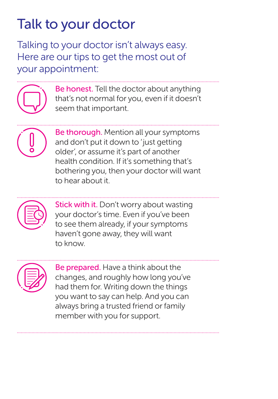## Talk to your doctor

Talking to your doctor isn't always easy. Here are our tips to get the most out of your appointment:



Be honest. Tell the doctor about anything that's not normal for you, even if it doesn't seem that important.



Be thorough. Mention all your symptoms and don't put it down to 'just getting older', or assume it's part of another health condition. If it's something that's bothering you, then your doctor will want to hear about it.



Stick with it. Don't worry about wasting your doctor's time. Even if you've been to see them already, if your symptoms haven't gone away, they will want to know.

Be prepared. Have a think about the changes, and roughly how long you've had them for. Writing down the things you want to say can help. And you can always bring a trusted friend or family member with you for support.